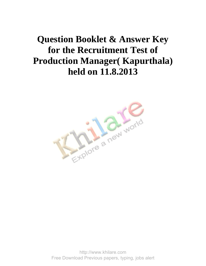## **Question Booklet & Answer Key for the Recruitment Test of Production Manager( Kapurthala) held on 11.8.2013**



http://www.khilare.com Free Download Previous papers, typing, jobs alert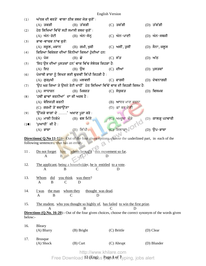| (1)                                                                                                    | ਅੱਧਕ ਦੀ ਵਰਤੋਂ ਵਾਲਾ ਠੀਕ ਸ਼ਬਦ ਜੋੜ ਚੁਣੋਂ ∶  |                                                                                                           |   |                   |  |                     |  |  |
|--------------------------------------------------------------------------------------------------------|------------------------------------------|-----------------------------------------------------------------------------------------------------------|---|-------------------|--|---------------------|--|--|
|                                                                                                        | (A) ਤਕੜੀ                                 | $(B)$ ਤੱਕੜੀ                                                                                               |   | (C) ਤਕੱੜੀ         |  | (D) ਤੱਕੱੜੀ          |  |  |
| (2)                                                                                                    | ਹੇਠ ਲਿਖਿਆਂ ਵਿੱਚੋਂ ਸਹੀ ਸਮਾਸੀ ਸ਼ਬਦ ਚੁਣੋਂ : |                                                                                                           |   |                   |  |                     |  |  |
|                                                                                                        | (A) ਅੰਨ-ਰੋਟੀ                             | (B) ਅੰਨ–ਸੰਨ੍ਹ                                                                                             |   | (C) ਅੰਨ-ਪਾਣੀ      |  | $(D)$ ਅੰਨ–ਸਬਜੀ      |  |  |
| (3)                                                                                                    | ਭਾਵ-ਵਾਚਕ ਨਾਂਵ ਚੁਣੋ:                      |                                                                                                           |   |                   |  |                     |  |  |
|                                                                                                        |                                          | (A) ਸਕੂਲ, ਮਕਾਨ           (B) ਗਮੀ, ਖੁਸ਼ੀ               (C) ਅਸੀਂ, ਤੁਸੀਂ                                     |   |                   |  | (D) ਸੈਨਾ, ਜਲੂਸ      |  |  |
| (4)                                                                                                    |                                          | ਕਿਰਿਆ ਵਿਸ਼ੇਸ਼ਣ ਦੀਆਂ ਕਿੰਨੀਆਂ ਕਿਸਮਾਂ ਹੁੰਦੀਆਂ ਹਨ:                                                            |   |                   |  |                     |  |  |
|                                                                                                        | (A) ਪੰਜ                                  | $(B)$ ਛੇ                                                                                                  |   | $(C)$ ਸੱਤ         |  | $(D)$ ਅੱਠ           |  |  |
| (5)                                                                                                    |                                          | 'ਇਹ ਉਸ ਦੀਆਂ ਪੁਸਤਕਾਂ ਹਨ' ਵਾਕ ਵਿੱਚ ਸੰਬੰਧਕ ਕਿਹੜਾ ਹੈ:                                                         |   |                   |  |                     |  |  |
|                                                                                                        | $(A)$ ਇਹ                                 | $(B)$ ਉਸ                                                                                                  |   | $(C)$ ਦੀਆਂ        |  | (D) ਪੁਸਤਕਾਂ         |  |  |
| (6)                                                                                                    |                                          | ਪੰਜਾਬੀ ਭਾਸ਼ਾ ਨੂੰ ਲਿਖਣ ਲਈ ਢੁਕਵੀਂ ਲਿੱਪੀ ਕਿਹੜੀ ਹੈ :                                                          |   |                   |  |                     |  |  |
|                                                                                                        | $(A)$ ਗੁਰਮੁਖੀ                            | $(B)$ ਮਲਵਈ                                                                                                |   | $(C)$ ਫਾਰਸੀ       |  | (D) ਦੇਵਨਾਗਰੀ        |  |  |
| (7)                                                                                                    |                                          | 'ਉਹ ਘਰ ਗਿਆ ਤੇ ਉਸਨੇ ਰੋਟੀ ਖਾਧੀ' ਹੇਠ ਲਿਖਿਆਂ ਵਿੱਚੋਂ ਵਾਕ ਦੀ ਕਿਹੜੀ ਕਿਸਮ ਹੈ:                                     |   |                   |  |                     |  |  |
|                                                                                                        | $(A)$ ਸਾਧਾਰਨ                             | $(B)$ ਮਿਸ਼ਰਤ                                                                                              |   | (C) ਸੰਯੁਕਤ        |  | $(D)$ ਵਿਸਮਕ         |  |  |
| (8)                                                                                                    | 'ਹਥੀਂ ਛਾਵਾਂ ਕਰਨੀਆਂ' ਦਾ ਕੀ ਅਰਥ ਹੈ :       |                                                                                                           |   |                   |  |                     |  |  |
|                                                                                                        | (A) ਬੇਇਜਤੀ ਕਰਨੀ                          |                                                                                                           |   | (B) ਆਦਰ ਮਾਣ ਕਰਨਾ  |  |                     |  |  |
|                                                                                                        | (C) ਗਰਮੀਂ ਤੋਂ ਬਚਾਉਂਣਾ                    |                                                                                                           |   | $(D)$ ਛਾਂ ਕਰ ਦੇਣੀ |  |                     |  |  |
| (9)                                                                                                    | 'ਉੱਜੜੇ ਬਾਗਾਂ ਦੇ ' ਅਖਾਣ ਪੂਰਾ ਕਰੋ :        |                                                                                                           |   |                   |  |                     |  |  |
|                                                                                                        | (A) ਮਾਲੀ ਨਿਕੰਮੇ                          | $(B)$ ਫਲ ਮਿੱਠੇ                                                                                            |   | (C) ਅਮਰੂਦ ਕੌੜੇ    |  | $(D)$ ਗਾਲੜ੍ਹ ਪਟਵਾਰੀ |  |  |
| (10)                                                                                                   | 'ਪੁਆਧੀ' ਕੀ ਹੈ:                           |                                                                                                           |   |                   |  |                     |  |  |
|                                                                                                        | $(A)$ ਭਾਸ਼ਾ                              | $(B)$ ਲਿੱਪੀ                                                                                               |   | (C) ਇਲਾਕਾ         |  | $(D)$ ੳਪ–ਭਾਸ਼ਾ      |  |  |
|                                                                                                        |                                          |                                                                                                           |   |                   |  |                     |  |  |
|                                                                                                        | following sentences, that has an error:- | <b>Directions (Q.No 11-15):</b> Out of the four given options, choose the underlined part, in each of the |   |                   |  |                     |  |  |
|                                                                                                        |                                          |                                                                                                           |   |                   |  |                     |  |  |
| 11.                                                                                                    |                                          | Do not forget him whom brought this movement so far.                                                      |   |                   |  |                     |  |  |
|                                                                                                        | A<br>B.                                  | D                                                                                                         |   |                   |  |                     |  |  |
| 12.                                                                                                    |                                          | The applicant, being a householder, he is entitled to a vote.                                             |   |                   |  |                     |  |  |
|                                                                                                        | $\mathbf{A}$<br>B                        | $\mathcal{C}$                                                                                             |   | D                 |  |                     |  |  |
|                                                                                                        |                                          |                                                                                                           |   |                   |  |                     |  |  |
| 13.                                                                                                    | you think<br><b>Whom</b><br>did          | was there?                                                                                                |   |                   |  |                     |  |  |
|                                                                                                        | $\overline{A}$<br>B<br>$\mathcal{C}$     | D                                                                                                         |   |                   |  |                     |  |  |
| 14.                                                                                                    | the man<br><u>I was</u>                  | whom they<br>thought was dead.                                                                            |   |                   |  |                     |  |  |
|                                                                                                        | B<br>A                                   | D<br>C                                                                                                    |   |                   |  |                     |  |  |
|                                                                                                        |                                          |                                                                                                           |   |                   |  |                     |  |  |
| 15.                                                                                                    | A                                        | The student, who you thought so highly of, has failed to win the first prize.<br>B                        | C | D                 |  |                     |  |  |
| Directions (Q.No. 16-20): Out of the four given choices, choose the correct synonym of the words given |                                          |                                                                                                           |   |                   |  |                     |  |  |
| below:-                                                                                                |                                          |                                                                                                           |   |                   |  |                     |  |  |
|                                                                                                        |                                          |                                                                                                           |   |                   |  |                     |  |  |
| 16.                                                                                                    | Bleary<br>$(A)$ Blurry                   | (B) Bright                                                                                                |   | (C) Brittle       |  | (D) Clear           |  |  |
|                                                                                                        |                                          |                                                                                                           |   |                   |  |                     |  |  |
| 17.                                                                                                    | <b>Brusque</b>                           |                                                                                                           |   |                   |  |                     |  |  |
|                                                                                                        | (A) Shock                                | $(B)$ Curt                                                                                                |   | (C) Abrupt        |  | (D) Blunder         |  |  |

http://www.khilare.com

12 (Eng) Page **1** of **7** Free Download ¤t#paus pagedref, typing, jobs alert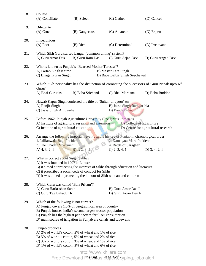| 18. | Collate<br>(A) Conciliate                                                                                                                                                                                                                                                                        | (B) Select                                                                | $(C)$ Gather                                | (D) Cancel                                                                                                 |  |  |  |
|-----|--------------------------------------------------------------------------------------------------------------------------------------------------------------------------------------------------------------------------------------------------------------------------------------------------|---------------------------------------------------------------------------|---------------------------------------------|------------------------------------------------------------------------------------------------------------|--|--|--|
| 19. | Dilettante<br>$(A)$ Cruel                                                                                                                                                                                                                                                                        | (B) Dangerous                                                             | (C) Amateur                                 | (D) Expert                                                                                                 |  |  |  |
| 20. | Impecunious<br>$(A)$ Poor                                                                                                                                                                                                                                                                        | (B) Rich                                                                  | (C) Determined                              | (D) Irrelevant                                                                                             |  |  |  |
| 21. | A) Guru Amar Das                                                                                                                                                                                                                                                                                 | Which Sikh Guru started Langar (common dining) system?<br>B) Guru Ram Das | C) Guru Arjan Dev                           | D) Guru Angad Dev                                                                                          |  |  |  |
| 22. | Who is known as Punjab's "Bearded Mother Teressa"?<br>A) Partap Singh Kairon<br>B) Master Tara Singh<br>C) Bhagat Puran Singh<br>D) Baba Balbir Singh Seechewal                                                                                                                                  |                                                                           |                                             |                                                                                                            |  |  |  |
| 23. |                                                                                                                                                                                                                                                                                                  |                                                                           |                                             | Which Sikh personality has the distinction of coronating the successors of Guru Nanak upto 6 <sup>th</sup> |  |  |  |
|     | Guru?<br>A) Bhai Gurudas                                                                                                                                                                                                                                                                         | B) Baba Srichand                                                          | C) Bhai Mardana                             | D) Baba Buddha                                                                                             |  |  |  |
| 24. | Nawab Kapur Singh conferred the title of 'Sultan-ul-qaum' on<br>A) Ranjit Singh<br>B) Jassa Singh Ramgarihia<br>C) Jassa Singh Ahluwalia<br>D) Banda Bahadur                                                                                                                                     |                                                                           |                                             |                                                                                                            |  |  |  |
| 25. | Before 1962, Punjab Agriculture University (PAU) was known as<br>A) Institute of agricultural research and extension B) College of agriculture<br>C) Institute of agricultural education<br>D) Centre for agricultural research                                                                  |                                                                           |                                             |                                                                                                            |  |  |  |
| 26. | Arrange the following important events in the history of Punjab in chronological order<br>2. Kamagata Maru Incident<br>1. Jallianwala Bagh Incident<br>3. The Ghadar Movement<br>4. Battle of Saraghari<br>B) 1, 2, 3, 4, 5<br>$C$ ) 2, 3, 4, 1<br>A) $4, 3, 2, 1$<br>D) $3, 4, 2, 1$            |                                                                           |                                             |                                                                                                            |  |  |  |
| 27. | What is correct about Singh Sabha?<br>A) it was founded in 1907 at Lahore<br>B) it aimed at protecting the interests of Sikhs through education and literature<br>C) it prescribed a social code of conduct for Sikhs<br>D) it was aimed at protecting the honour of Sikh woman and children     |                                                                           |                                             |                                                                                                            |  |  |  |
| 28. | Which Guru was called 'Bala Pritam'?<br>A) Guru Harkrishan Sahib<br>C) Guru Teg Bahadur Ji                                                                                                                                                                                                       |                                                                           | B) Guru Amar Das Ji<br>D) Guru Arjan Dev Ji |                                                                                                            |  |  |  |
| 29. | Which of the following is not correct?<br>A) Punjab covers 1.5% of geographical area of country<br>B) Punjab houses India's second largest tractor population<br>C) Punjab has the highest per hectare fertilizer consumption<br>D) main source of irrigation in Punjab are canals and tubewells |                                                                           |                                             |                                                                                                            |  |  |  |
| 30. | Punjab produces<br>A) 2% of world's cotton, 2% of wheat and 1% of rice<br>B) 5% of world's cotton, 5% of wheat and 2% of rice<br>C) 3% of world's cotton, 3% of wheat and 1% of rice<br>D) 1% of world's cotton, 3% of wheat and 6% of rice                                                      |                                                                           |                                             |                                                                                                            |  |  |  |
|     | http://www.khilare.com                                                                                                                                                                                                                                                                           |                                                                           |                                             |                                                                                                            |  |  |  |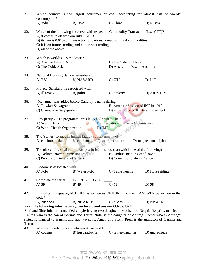| 31.                                                                                                                                                                                                                                                                                                            | consumption?                                                                                                                                                                                                                                                                               |                                                   |                                                                             | Which country is the largest consumer of coal, accounting for almost half of world's   |  |  |  |  |
|----------------------------------------------------------------------------------------------------------------------------------------------------------------------------------------------------------------------------------------------------------------------------------------------------------------|--------------------------------------------------------------------------------------------------------------------------------------------------------------------------------------------------------------------------------------------------------------------------------------------|---------------------------------------------------|-----------------------------------------------------------------------------|----------------------------------------------------------------------------------------|--|--|--|--|
|                                                                                                                                                                                                                                                                                                                | A) India                                                                                                                                                                                                                                                                                   | B) USA                                            | C) China                                                                    | D) Russia                                                                              |  |  |  |  |
| 32.                                                                                                                                                                                                                                                                                                            | Which of the following is correct with respect to Commodity Transaction Tax (CTT)?<br>A) it comes to effect from July 1, 2013<br>B) its rate is 0.01% on transaction of various non-agricultural commodities<br>C) it is on futures trading and not on spot trading<br>D) all of the above |                                                   |                                                                             |                                                                                        |  |  |  |  |
| 33.                                                                                                                                                                                                                                                                                                            | Which is world's largest desert?<br>A) Arabian Desert, Asia<br>C) The Gobi, Asia                                                                                                                                                                                                           |                                                   | B) The Sahara, Africa<br>D) Australian Desert, Australia                    |                                                                                        |  |  |  |  |
| 34.                                                                                                                                                                                                                                                                                                            | National Housing Bank is subsidiary of<br>A) RBI                                                                                                                                                                                                                                           | <b>B) NABARD</b>                                  | C) UTI                                                                      | D) LIC                                                                                 |  |  |  |  |
| 35.                                                                                                                                                                                                                                                                                                            | Project 'Sanskalp' is associated with<br>A) illiteracy                                                                                                                                                                                                                                     | B) polio                                          | C) poverty                                                                  | D) AIDS/HIV                                                                            |  |  |  |  |
| 36.                                                                                                                                                                                                                                                                                                            | A) Rowlatt Satyagraha<br>C) Champaran Satyagraha                                                                                                                                                                                                                                           | 'Mahatma' was added before Gandhiji's name during | B) Amritsar Session of INC in 1919<br>D) initial stage of Khalafat movement |                                                                                        |  |  |  |  |
| 37.                                                                                                                                                                                                                                                                                                            | 'Prosperity 2000' programme was launched with the help of<br><b>B)</b> International Finance Commission<br>A) World Bank<br>C) World Health Organization<br>D) IMF<br>WO                                                                                                                   |                                                   |                                                                             |                                                                                        |  |  |  |  |
| 38.                                                                                                                                                                                                                                                                                                            | The 'stones' formed in human kidney consist mostly of<br>A) calcium oxalate<br>B) calcium<br>C) sodium oxalate<br>D) magnesium sulphate                                                                                                                                                    |                                                   |                                                                             |                                                                                        |  |  |  |  |
| 39.                                                                                                                                                                                                                                                                                                            | The office of Lokpal and Lokayukta in India is based on which one of the following?<br>A) Parliamentary commissioner of U.K.<br>B) Ombudsman in Scandinavia<br>C) Procurator General of Russia<br>D) Council of State in France                                                            |                                                   |                                                                             |                                                                                        |  |  |  |  |
| 40.                                                                                                                                                                                                                                                                                                            | 'Epsom' is associated with<br>A) Polo                                                                                                                                                                                                                                                      | B) Water Polo                                     | C) Table Tennis                                                             | D) Horse riding                                                                        |  |  |  |  |
| 41.                                                                                                                                                                                                                                                                                                            | Complete the series<br>A) 59                                                                                                                                                                                                                                                               | 14, 19, 26, 35, 46, $\_\_$<br>B) 49               | $\overline{C}$ ) 51                                                         | D) 58                                                                                  |  |  |  |  |
| 42.                                                                                                                                                                                                                                                                                                            | code?                                                                                                                                                                                                                                                                                      |                                                   |                                                                             | In a certain language, MOTHER is written as ONHURF. How will ANSWER be written in that |  |  |  |  |
|                                                                                                                                                                                                                                                                                                                | A) NBXSSE                                                                                                                                                                                                                                                                                  | <b>B) NBWRRF</b>                                  | C) MAVSPE                                                                   | D) NBWTRF                                                                              |  |  |  |  |
|                                                                                                                                                                                                                                                                                                                | Read the following information given below and answer Q.Nos.43-44                                                                                                                                                                                                                          |                                                   |                                                                             |                                                                                        |  |  |  |  |
| Rani and Shreshtha are a married couple having two daughters, Medha and Deepti. Deepti is married to<br>Anurag who is the son of Garima and Tarun. Nidhi is the daughter of Anurag. Komal who is Anurag's<br>sister, is married to Harshit and has two sons, Aman and Prem. Prem is the grandson of Garima and |                                                                                                                                                                                                                                                                                            |                                                   |                                                                             |                                                                                        |  |  |  |  |
| Tarun.                                                                                                                                                                                                                                                                                                         |                                                                                                                                                                                                                                                                                            |                                                   |                                                                             |                                                                                        |  |  |  |  |
| 43.                                                                                                                                                                                                                                                                                                            |                                                                                                                                                                                                                                                                                            | What is the relationship between Aman and Nidhi?  |                                                                             |                                                                                        |  |  |  |  |
|                                                                                                                                                                                                                                                                                                                | A) cousins                                                                                                                                                                                                                                                                                 | B) husband-wife                                   | C) father-daughter                                                          | D) uncle-niece                                                                         |  |  |  |  |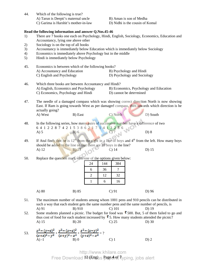| 44.                        | Which of the following is true?<br>A) Tarun is Deepti's maternal uncle<br>B) Aman is son of Medha<br>C) Garima is Harshit's mother-in-law<br>D) Nidhi is the cousin of Komal                                                                                                                                                                                                                                                                                                                         |  |  |  |  |  |  |
|----------------------------|------------------------------------------------------------------------------------------------------------------------------------------------------------------------------------------------------------------------------------------------------------------------------------------------------------------------------------------------------------------------------------------------------------------------------------------------------------------------------------------------------|--|--|--|--|--|--|
| 1)<br>2)<br>3)<br>4)<br>5) | Read the following information and answer Q.Nos.45-46<br>There are 7 books one each on Psychology, Hindi, English, Sociology, Economics, Education and<br>Accountancy, lying one above other<br>Sociology is on the top of all books<br>Accountancy is immediately below Education which is immediately below Sociology<br>Economics is immediately above Psychology but in the middle<br>Hindi is immediately below Psychology                                                                      |  |  |  |  |  |  |
| 45.                        | Economics is between which of the following books?<br>A) Accountancy and Education<br>B) Psychology and Hindi<br>C) English and Psychology<br>D) Psychology and Sociology                                                                                                                                                                                                                                                                                                                            |  |  |  |  |  |  |
| 46.                        | Which three books are between Accountancy and Hindi?<br>A) English, Economics and Psychology<br>B) Economics, Psychology and Education<br>C) Economics, Psychology and Hindi<br>D) cannot be determined                                                                                                                                                                                                                                                                                              |  |  |  |  |  |  |
| 47.                        | The needle of a damaged compass which was showing correct direction North is now showing<br>East. If Ram is going towards West as per damaged compass, then towards which direction is he<br>actually going?<br>C) North<br>D) South<br>A) West<br>B) East                                                                                                                                                                                                                                           |  |  |  |  |  |  |
| 48.                        | In the following series, how many pairs of successive number have a difference of two<br>6 4 1 2 2 8 7 4 2 1 5 3 8 6 2 1 7 1 4 1 3 2 8 6<br>A) 5<br>B) 6<br>C) 7<br>D) 8<br>B)6                                                                                                                                                                                                                                                                                                                      |  |  |  |  |  |  |
| 49.                        | If Atul finds that he is $12th$ from the right in a line of boys and $4th$ from the left. How many boys<br>should be added to the line so that there are 28 boys in the line?<br>B) 13<br>$C)$ 14<br>$D)$ 15<br>A) 12                                                                                                                                                                                                                                                                                |  |  |  |  |  |  |
| 50.                        | Replace the question mark with one of the options given below:<br>384<br>24<br>144<br>$\overline{\cdot}$<br>6<br>36<br>$\overline{2}$<br>12<br>32<br>$\mathbf{1}$<br>6<br>16                                                                                                                                                                                                                                                                                                                         |  |  |  |  |  |  |
|                            | A) 80<br>$C$ ) 91<br>D) 96<br>B) 85                                                                                                                                                                                                                                                                                                                                                                                                                                                                  |  |  |  |  |  |  |
| 51.<br>52.                 | The maximum number of students among whom 1001 pens and 910 pencils can be distributed in<br>such a way that each student gets the same number pens and the same number of pencils, is<br>B) 910<br>$C$ ) 101<br>D) 19<br>A) 91<br>Some students planned a picnic. The budget for food was $\bar{3}$ 500. But, 5 of them failed to go and<br>thus cost of food for each student increased by $\bar{\mathbf{z}}$ 5. How many students attended the picnic?<br>$C$ ) 25<br>A) 15<br>$B)$ 20<br>$D)$ 30 |  |  |  |  |  |  |

53.  $\frac{x-2y}{(x+2)^2} + \frac{y-2y}{(x+2)^2} + \frac{z-2y}{(x+2)^2} = ?$ A) -1 B) 0 C) 1 D) 2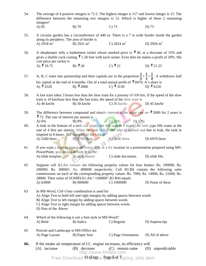| 54. | The average of 4 positive integers is 72.5. The highest integer is 117 and lowest integer is 15. The<br>difference between the remaining two integers is 12. Which is higher of these 2 remaining<br>integers?                                                                                                                                  |                                                                                               |                                                                                                                                   |                                                                                                                                      |  |  |  |
|-----|-------------------------------------------------------------------------------------------------------------------------------------------------------------------------------------------------------------------------------------------------------------------------------------------------------------------------------------------------|-----------------------------------------------------------------------------------------------|-----------------------------------------------------------------------------------------------------------------------------------|--------------------------------------------------------------------------------------------------------------------------------------|--|--|--|
|     | A) 85                                                                                                                                                                                                                                                                                                                                           | $B)$ 70                                                                                       | $C$ ) 73                                                                                                                          | D) 75                                                                                                                                |  |  |  |
| 55. | along its periphery. The area of border is                                                                                                                                                                                                                                                                                                      |                                                                                               |                                                                                                                                   | A circular garden has a circumference of 440 m. There is a 7 m wide border inside the garden                                         |  |  |  |
|     | A) 2918 m <sup>2</sup>                                                                                                                                                                                                                                                                                                                          | B) 2921 $m^2$                                                                                 | C) 2924 $m^2$                                                                                                                     | D) 2926 $m^2$                                                                                                                        |  |  |  |
| 56. | A shopkeeper sells a badminton racket whose marked price is $\bar{\phantom{1}}$ 30, at a discount of 15% and<br>gives a shuttle cock costing $\bar{\mathbf{\xi}}$ 1.50 free with each racket. Even then he makes a profit of 20%. His<br>cost price per racket is                                                                               |                                                                                               |                                                                                                                                   |                                                                                                                                      |  |  |  |
|     | A) ₹ 19.75                                                                                                                                                                                                                                                                                                                                      | B) ₹20                                                                                        | C) ₹21                                                                                                                            | D) ₹21.25                                                                                                                            |  |  |  |
| 57. |                                                                                                                                                                                                                                                                                                                                                 |                                                                                               |                                                                                                                                   | A, B, C enter into partnership and their capitals are in the proportion $\frac{1}{3} : \frac{1}{4} : \frac{1}{5}$ . A withdraws half |  |  |  |
|     | A) ₹2520                                                                                                                                                                                                                                                                                                                                        | B) ₹2800                                                                                      | his capital at the end of 4 months. Out of a total annual profit of $\bar{\mathbf{\mathcal{R}}}$ 8470, A's share is<br>C) ₹ 3150  | D) ₹4120                                                                                                                             |  |  |  |
| 58. | $A)$ 40 km/hr                                                                                                                                                                                                                                                                                                                                   | train is 10 km/hour less than the fast train, the speed of the slow train is<br>$B)$ 30 km/hr | $C$ ) 35 km/hr                                                                                                                    | A fast train takes 3 hours less than the slow train for a journey of 600 km. If the speed of the slow<br>D) $45 \text{ km/hr}$       |  |  |  |
| 59. | ₹72. The rate of interest per annum is<br>A) 6%                                                                                                                                                                                                                                                                                                 | B) 8%                                                                                         | $C)$ 10%<br>D) 12%                                                                                                                | The difference between compound and simple interest at the same rate on $\bar{\mathbf{\cdot}}$ 5000 for 2 years is                   |  |  |  |
| 60. | A leak in the bottom of a tank can empty the full tank in 6 hours. An inlet pipe fills water at the<br>rate of 4 litre per minute. When the tank is full, the inlet is opened and due to leak, the tank in<br>emptied in 8 hours. The capacity of the tank is<br>C) 5846 litres<br><b>B</b> ) 5760 litres<br>A) 5260 litres<br>D) $6970$ litres |                                                                                               |                                                                                                                                   |                                                                                                                                      |  |  |  |
|     |                                                                                                                                                                                                                                                                                                                                                 |                                                                                               |                                                                                                                                   |                                                                                                                                      |  |  |  |
| 61  | PowerPoint, you should include it on the:                                                                                                                                                                                                                                                                                                       |                                                                                               |                                                                                                                                   | If you want a logo to appear on every slide at a fix location in a presentation prepared using MS-                                   |  |  |  |
|     | A) slide template.                                                                                                                                                                                                                                                                                                                              | B) slide master                                                                               | C) slide document.                                                                                                                | D) slide file.                                                                                                                       |  |  |  |
| 62  | Suppose cell A1:A4 contain the following property values for four homes: Rs. 100000, Rs.<br>200000, Rs. 300000, Rs. 400000 respectively. Cell B1:B4 contain the following sales<br>commissions on each of the corresponding property values: Rs. 7000, Rs. 14000, Rs. 21000, Rs.<br>28000. Then value of SUMIF(A1:A4,">160000",B1:B4) equals    |                                                                                               |                                                                                                                                   |                                                                                                                                      |  |  |  |
|     | A) 63000                                                                                                                                                                                                                                                                                                                                        | B) 900000                                                                                     | C) 1000000                                                                                                                        | D) None of these                                                                                                                     |  |  |  |
| 63  | In MS-Word, Crtl+J key combination is used for<br>A) Align Text to both left and right margins by adding spaces between words<br>B) Align Text to left margin by adding spaces between words<br>C) Align Text to right margin by adding spaces between words<br>D) Non of the Above                                                             |                                                                                               |                                                                                                                                   |                                                                                                                                      |  |  |  |
| 64  | A) Bold                                                                                                                                                                                                                                                                                                                                         | Which of the following is not a font style in MS-Word?<br>B) Italics                          | C) Regular                                                                                                                        | D) Superscript                                                                                                                       |  |  |  |
| 65  | Portrait and Landscape in MS-Office are<br>A) Page Layout                                                                                                                                                                                                                                                                                       | B) Paper Size                                                                                 | C) Page Orientation                                                                                                               | D) All of above                                                                                                                      |  |  |  |
| 66. | $(A)$ increase                                                                                                                                                                                                                                                                                                                                  | (B) decrease                                                                                  | If the intake air temperature of I.C. engine increases, its efficiency will<br>decrease (C) remain same<br>http://www.khilare.com | (D)<br>unpredictable                                                                                                                 |  |  |  |
|     | Free Download Pretagus Page 5ref, Typing, jobs alert                                                                                                                                                                                                                                                                                            |                                                                                               |                                                                                                                                   |                                                                                                                                      |  |  |  |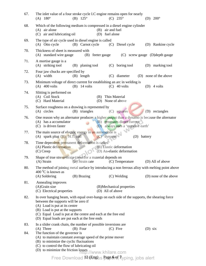| 67.        | The inlet value of a four stroke cycle I.C engine remains open for nearly<br>$(C) 235^{\circ}$<br>$(A) 180^{\circ}$<br>(B) $125^{\circ}$<br>(D) $200^{\circ}$                                                                                                                                                                                                                                                                    |
|------------|----------------------------------------------------------------------------------------------------------------------------------------------------------------------------------------------------------------------------------------------------------------------------------------------------------------------------------------------------------------------------------------------------------------------------------|
| 68.        | Which of the following medium is compressed in a diesel engine cylinder<br>$(A)$ air alone<br>(B) air and fuel<br>(C) air and lubricating oil<br>(D) fuel alone                                                                                                                                                                                                                                                                  |
| 69.        | The type of air cycle used in diesel engine is called<br>(B) Carnot cycle<br>(A) Otto cycle<br>(C) Diesel cycle<br>(D) Rankine cycle                                                                                                                                                                                                                                                                                             |
| 70.        | Thickness of sheet is measured with<br>(A) standard wire gauge<br>(B) feeter gauge<br>(C) screw gauge (D) depth gauge                                                                                                                                                                                                                                                                                                            |
| 71.        | A mortise gauge is a<br>(A) striking tool<br>(B) planing tool<br>(C) boring tool<br>(D) marking tool                                                                                                                                                                                                                                                                                                                             |
| 72.        | Four jaw chucks are specified by<br>$(A)$ width<br>(B) length<br>$(C)$ diameter<br>(D) none of the above                                                                                                                                                                                                                                                                                                                         |
| 73.        | Minimum voltage of direct current for establishing an arc in welding is<br>$(A)$ 400 volts<br>$(B)$ 14 volts<br>$(C)$ 40 volts<br>$(D)$ 4 volts                                                                                                                                                                                                                                                                                  |
| 74.        | Slitting is performed on<br>(A) Coil Stock<br>(B) Thin Material<br>(C) Hard Material<br>(D) None of above                                                                                                                                                                                                                                                                                                                        |
| 75.        | Surface roughness on a drawing is represented by<br>(D) rectangles<br>(A) circles<br>(B) triangles<br>(C) squares                                                                                                                                                                                                                                                                                                                |
| 76.        | One reason why an alternator produces a higher output than a dynamo is because the alternator<br>(B) generates direct current<br>(A) has a accumulator<br>(C) is driven faster<br>(D) always uses a 'negative earth'                                                                                                                                                                                                             |
| 77.        | The main source of electric energy in an automobile is<br>(A) spark plug $(B)$ H.T. coil<br>$(C)$ dynamo<br>(D) battery                                                                                                                                                                                                                                                                                                          |
| 78.        | Time dependent permanent deformation is called<br>(A) Plastic deformation<br>(B) Elastic deformation<br>(D) An-elastic deformation<br>$(C)$ Creep                                                                                                                                                                                                                                                                                |
| 79.        | Shape of true stress-strain curve for a material depends on<br>(B) Strain rate (C) Temperature<br>(D) All of above<br>(A) Strain                                                                                                                                                                                                                                                                                                 |
| 80.        | The method of joining metal surface by introducing a non ferrous alloy with melting point above<br>$4000C$ is known as<br>(A) Soldering<br>(B) Brazing<br>(C) Welding<br>(D) none of the above                                                                                                                                                                                                                                   |
| 81.        | Annealing improves<br>(A)Grain size<br>(B)Mechanical properties<br>(C) Electrical properties<br>(D) All of above                                                                                                                                                                                                                                                                                                                 |
| 82.        | In over hanging beam, with equal over-hangs on each side of the supports, the shearing force<br>between the supports will be zero if<br>(A) Load is put at its centre<br>(B) Load is put at the supports<br>(C) Equal Load is put at the centre and each at the free end<br>(D) Equal loads are put each at the free ends                                                                                                        |
| 83.<br>84. | In a slider crank chain, the number of possible inversions are<br>(A) Three<br>$(C)$ Five<br>$(B)$ Four<br>$(D)$ six<br>The function of the governor is<br>(A) to maintain constant average speed of the prime mover<br>(B) to minimize the cyclic fluctuations<br>(C) to control the flow of lubricating oil<br>(D) to minimize the friction $losses$ .//www.khilare.com<br>Free Download PreEngus Page one, Typing, jobs alert |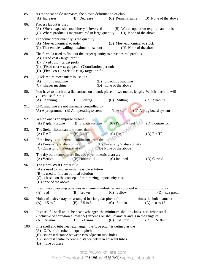| 85.  | As the shear angle increases, the plastic deformation of chip<br>(A) Increases<br>(B) Decrease<br>(C) Remains same<br>D) None of the above                                                                                                                     |  |  |  |  |  |  |
|------|----------------------------------------------------------------------------------------------------------------------------------------------------------------------------------------------------------------------------------------------------------------|--|--|--|--|--|--|
| 86.  | Process layout is used<br>(A) Where expensive machinery is involved<br>(B) Where operation require hand tools<br>(C) Where product is manufactured in large quantity<br>(D) None of the above                                                                  |  |  |  |  |  |  |
| 87.  | Economic order quantity is the quantity<br>(A) Most economical to order<br>(B) Most economical to stock<br>(C) That enable availing maximum discount<br>(D) None of the above                                                                                  |  |  |  |  |  |  |
| 88.  | The formula used to find out the target quantity to have desired profit is<br>(A) Fixed cost - target profit<br>$(B)$ Fixed cost + target profit<br>(C) (Fixed cost + target profit)/Contribution per unit<br>(D) (Fixed cost + variable cost)/ target profit  |  |  |  |  |  |  |
| 89.  | Quick return mechanism is used in<br>(A) milling machine<br>broaching machine<br>(B)<br>shaper machine<br>none of the above<br>(C)<br>(D)                                                                                                                      |  |  |  |  |  |  |
| 90.  | You have to machine a flat surface on a work piece of two meters length. Which machine will<br>you choose for this<br>(A) Planning<br>(B) Slotting<br>(C) Milling<br>Shaping<br>(D)                                                                            |  |  |  |  |  |  |
| 91.  | CNC machine are not manually controlled by<br>(D) A plug board system<br>$(A)$ A programme $(B)$ An operating system<br>$(C)A$ cam                                                                                                                             |  |  |  |  |  |  |
| 92.  | Which one is an impulse turbine<br>(C) Pelton wheel<br>(A) Kaplan turbine<br>(B) Francis turbine<br>(D) Fourneyron                                                                                                                                             |  |  |  |  |  |  |
| 93.  | $(C) E \alpha T^3$<br>The Stefan Boltzman law states that<br>(D) $E \alpha T^4$<br>$(B)$ E $\alpha$ T <sup>2</sup><br>$(A) E \alpha T$                                                                                                                         |  |  |  |  |  |  |
| 94.  | If the body is at thermal equilibrium, then the<br>(A) Emissivity = absorptivity<br>$(B)$ Emissivity > absorptivity<br>$(C)$ Emissivity $\leq$ absorptivity<br>(D) None of the above                                                                           |  |  |  |  |  |  |
| 95.  | The dry bulb temperature lines of psychometric chart are<br>(A) Vertical<br>(B) Horizontal<br>(D) Curved<br>(C) Inclined                                                                                                                                       |  |  |  |  |  |  |
| 96.  | The North West Corner rule<br>(A) is used to find an initial feasible solution<br>(B) is used to find an optimal solution<br>(C) is based on the concept of minimizing opportunity cost<br>(D) none of the above                                               |  |  |  |  |  |  |
| 97.  | Fresh water carrying pipelines in chemical industries are coloured with<br>color.<br>$(A)$ red<br>(B) brown<br>$(C)$ yellow<br>(D) sea green                                                                                                                   |  |  |  |  |  |  |
| 98.  | Holes of a sieve tray are arranged in triangular pitch of _________ times the hole diameter<br>$(C)$ 5 to 10<br>(B) $2.5 \text{ to } 5$<br>(A) $1.5 \text{ to } 2$<br>(D) 10 to 15                                                                             |  |  |  |  |  |  |
| 99.  | In case of a shell and tube heat exchanger, the minimum shell thickness for carbon steel<br>(inclusive of corrosion allowance) depends on shell diameter and is in the range of<br>$(B)$ 5-11mm<br>$(A)$ 3-5mm<br>$(C)$ 8-15mm<br>$(D)$ 12-18mm                |  |  |  |  |  |  |
| 100. | In a shell and tube heat exchanger, the 'tube pitch' is defined as the<br>(A) O.D. of the tube for square pitch<br>(B) shortest distance between two adjacent tube holes<br>(C) shortest centre to centre distance between adjacent tubes<br>(D) none of these |  |  |  |  |  |  |

## $12$  (Eng)  $\subseteq$  Page  $\neq$  of 7 http://www.khilare.com Free Download ¤t#paus page*d*ref, typing, jobs alert